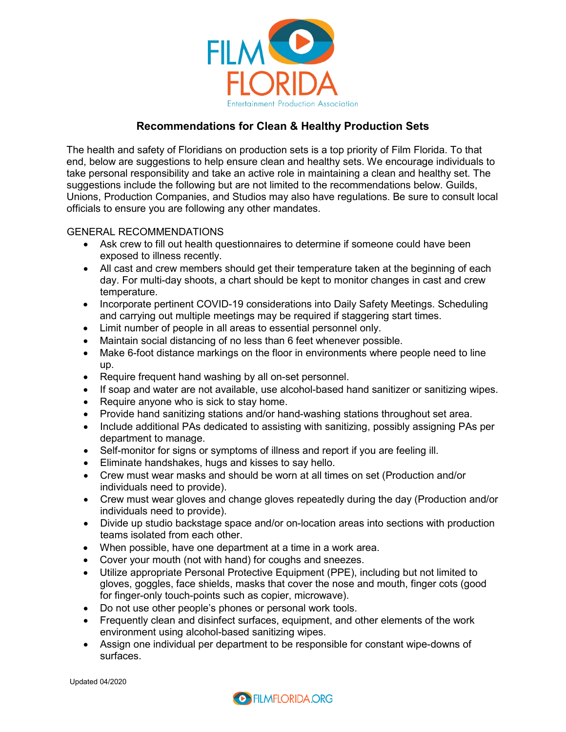

# **Recommendations for Clean & Healthy Production Sets**

The health and safety of Floridians on production sets is a top priority of Film Florida. To that end, below are suggestions to help ensure clean and healthy sets. We encourage individuals to take personal responsibility and take an active role in maintaining a clean and healthy set. The suggestions include the following but are not limited to the recommendations below. Guilds, Unions, Production Companies, and Studios may also have regulations. Be sure to consult local officials to ensure you are following any other mandates.

## GENERAL RECOMMENDATIONS

- Ask crew to fill out health questionnaires to determine if someone could have been exposed to illness recently.
- All cast and crew members should get their temperature taken at the beginning of each day. For multi-day shoots, a chart should be kept to monitor changes in cast and crew temperature.
- Incorporate pertinent COVID-19 considerations into Daily Safety Meetings. Scheduling and carrying out multiple meetings may be required if staggering start times.
- Limit number of people in all areas to essential personnel only.
- Maintain social distancing of no less than 6 feet whenever possible.
- Make 6-foot distance markings on the floor in environments where people need to line up.
- Require frequent hand washing by all on-set personnel.
- If soap and water are not available, use alcohol-based hand sanitizer or sanitizing wipes.
- Require anyone who is sick to stay home.
- Provide hand sanitizing stations and/or hand-washing stations throughout set area.
- Include additional PAs dedicated to assisting with sanitizing, possibly assigning PAs per department to manage.
- Self-monitor for signs or symptoms of illness and report if you are feeling ill.
- Eliminate handshakes, hugs and kisses to say hello.
- Crew must wear masks and should be worn at all times on set (Production and/or individuals need to provide).
- Crew must wear gloves and change gloves repeatedly during the day (Production and/or individuals need to provide).
- Divide up studio backstage space and/or on-location areas into sections with production teams isolated from each other.
- When possible, have one department at a time in a work area.
- Cover your mouth (not with hand) for coughs and sneezes.
- Utilize appropriate Personal Protective Equipment (PPE), including but not limited to gloves, goggles, face shields, masks that cover the nose and mouth, finger cots (good for finger-only touch-points such as copier, microwave).
- Do not use other people's phones or personal work tools.
- Frequently clean and disinfect surfaces, equipment, and other elements of the work environment using alcohol-based sanitizing wipes.
- Assign one individual per department to be responsible for constant wipe-downs of surfaces.

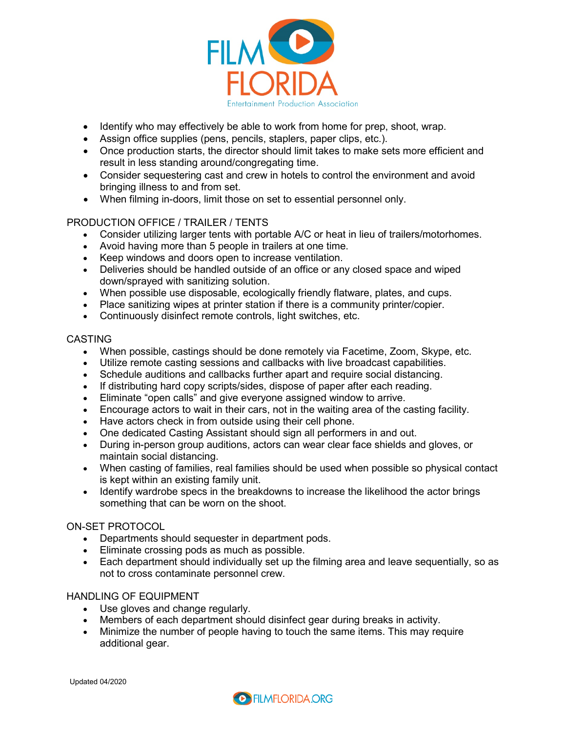

- Identify who may effectively be able to work from home for prep, shoot, wrap.
- Assign office supplies (pens, pencils, staplers, paper clips, etc.).
- Once production starts, the director should limit takes to make sets more efficient and result in less standing around/congregating time.
- Consider sequestering cast and crew in hotels to control the environment and avoid bringing illness to and from set.
- When filming in-doors, limit those on set to essential personnel only.

## PRODUCTION OFFICE / TRAILER / TENTS

- Consider utilizing larger tents with portable A/C or heat in lieu of trailers/motorhomes.
- Avoid having more than 5 people in trailers at one time.
- Keep windows and doors open to increase ventilation.
- Deliveries should be handled outside of an office or any closed space and wiped down/sprayed with sanitizing solution.
- When possible use disposable, ecologically friendly flatware, plates, and cups.
- Place sanitizing wipes at printer station if there is a community printer/copier.
- Continuously disinfect remote controls, light switches, etc.

#### CASTING

- When possible, castings should be done remotely via Facetime, Zoom, Skype, etc.
- Utilize remote casting sessions and callbacks with live broadcast capabilities.
- Schedule auditions and callbacks further apart and require social distancing.
- If distributing hard copy scripts/sides, dispose of paper after each reading.
- Eliminate "open calls" and give everyone assigned window to arrive.
- Encourage actors to wait in their cars, not in the waiting area of the casting facility.
- Have actors check in from outside using their cell phone.
- One dedicated Casting Assistant should sign all performers in and out.
- During in-person group auditions, actors can wear clear face shields and gloves, or maintain social distancing.
- When casting of families, real families should be used when possible so physical contact is kept within an existing family unit.
- Identify wardrobe specs in the breakdowns to increase the likelihood the actor brings something that can be worn on the shoot.

#### ON-SET PROTOCOL

- Departments should sequester in department pods.
- Eliminate crossing pods as much as possible.
- Each department should individually set up the filming area and leave sequentially, so as not to cross contaminate personnel crew.

## HANDLING OF EQUIPMENT

- Use gloves and change regularly.
- Members of each department should disinfect gear during breaks in activity.
- Minimize the number of people having to touch the same items. This may require additional gear.

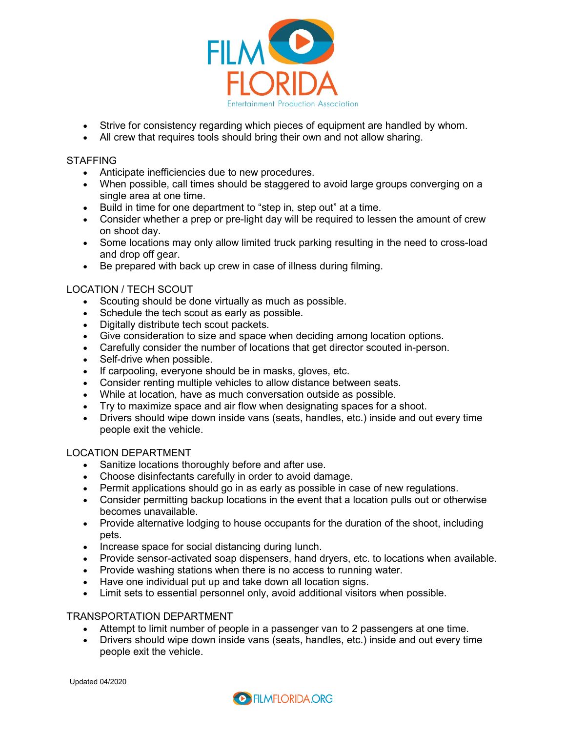

- Strive for consistency regarding which pieces of equipment are handled by whom.
- All crew that requires tools should bring their own and not allow sharing.

#### STAFFING

- Anticipate inefficiencies due to new procedures.
- When possible, call times should be staggered to avoid large groups converging on a single area at one time.
- Build in time for one department to "step in, step out" at a time.
- Consider whether a prep or pre-light day will be required to lessen the amount of crew on shoot day.
- Some locations may only allow limited truck parking resulting in the need to cross-load and drop off gear.
- Be prepared with back up crew in case of illness during filming.

## LOCATION / TECH SCOUT

- Scouting should be done virtually as much as possible.
- Schedule the tech scout as early as possible.
- Digitally distribute tech scout packets.
- Give consideration to size and space when deciding among location options.
- Carefully consider the number of locations that get director scouted in-person.
- Self-drive when possible.
- If carpooling, everyone should be in masks, gloves, etc.
- Consider renting multiple vehicles to allow distance between seats.
- While at location, have as much conversation outside as possible.
- Try to maximize space and air flow when designating spaces for a shoot.
- Drivers should wipe down inside vans (seats, handles, etc.) inside and out every time people exit the vehicle.

### LOCATION DEPARTMENT

- Sanitize locations thoroughly before and after use.
- Choose disinfectants carefully in order to avoid damage.
- Permit applications should go in as early as possible in case of new regulations.
- Consider permitting backup locations in the event that a location pulls out or otherwise becomes unavailable.
- Provide alternative lodging to house occupants for the duration of the shoot, including pets.
- Increase space for social distancing during lunch.
- Provide sensor-activated soap dispensers, hand dryers, etc. to locations when available.
- Provide washing stations when there is no access to running water.
- Have one individual put up and take down all location signs.
- Limit sets to essential personnel only, avoid additional visitors when possible.

#### TRANSPORTATION DEPARTMENT

- Attempt to limit number of people in a passenger van to 2 passengers at one time.
- Drivers should wipe down inside vans (seats, handles, etc.) inside and out every time people exit the vehicle.

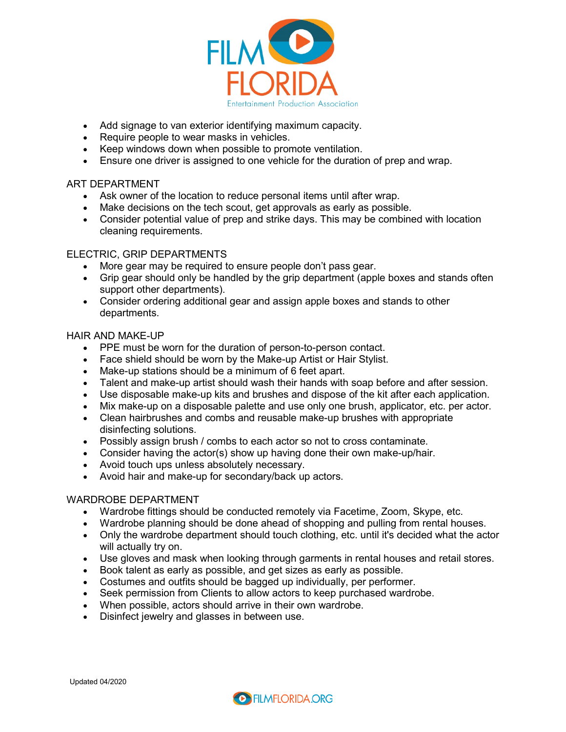

- Add signage to van exterior identifying maximum capacity.
- Require people to wear masks in vehicles.
- Keep windows down when possible to promote ventilation.
- Ensure one driver is assigned to one vehicle for the duration of prep and wrap.

#### ART DEPARTMENT

- Ask owner of the location to reduce personal items until after wrap.
- Make decisions on the tech scout, get approvals as early as possible.
- Consider potential value of prep and strike days. This may be combined with location cleaning requirements.

## ELECTRIC, GRIP DEPARTMENTS

- More gear may be required to ensure people don't pass gear.
- Grip gear should only be handled by the grip department (apple boxes and stands often support other departments).
- Consider ordering additional gear and assign apple boxes and stands to other departments.

### HAIR AND MAKE-UP

- PPE must be worn for the duration of person-to-person contact.
- Face shield should be worn by the Make-up Artist or Hair Stylist.
- Make-up stations should be a minimum of 6 feet apart.
- Talent and make-up artist should wash their hands with soap before and after session.
- Use disposable make-up kits and brushes and dispose of the kit after each application.
- Mix make-up on a disposable palette and use only one brush, applicator, etc. per actor.
- Clean hairbrushes and combs and reusable make-up brushes with appropriate disinfecting solutions.
- Possibly assign brush / combs to each actor so not to cross contaminate.
- Consider having the actor(s) show up having done their own make-up/hair.
- Avoid touch ups unless absolutely necessary.
- Avoid hair and make-up for secondary/back up actors.

### WARDROBE DEPARTMENT

- Wardrobe fittings should be conducted remotely via Facetime, Zoom, Skype, etc.
- Wardrobe planning should be done ahead of shopping and pulling from rental houses.
- Only the wardrobe department should touch clothing, etc. until it's decided what the actor will actually try on.
- Use gloves and mask when looking through garments in rental houses and retail stores.
- Book talent as early as possible, and get sizes as early as possible.
- Costumes and outfits should be bagged up individually, per performer.
- Seek permission from Clients to allow actors to keep purchased wardrobe.
- When possible, actors should arrive in their own wardrobe.
- Disinfect jewelry and glasses in between use.

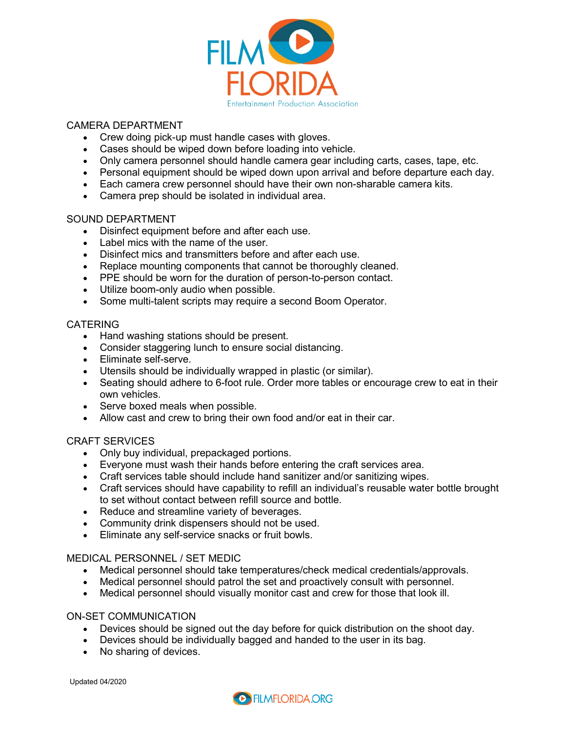

## CAMERA DEPARTMENT

- Crew doing pick-up must handle cases with gloves.
- Cases should be wiped down before loading into vehicle.
- Only camera personnel should handle camera gear including carts, cases, tape, etc.
- Personal equipment should be wiped down upon arrival and before departure each day.
- Each camera crew personnel should have their own non-sharable camera kits.
- Camera prep should be isolated in individual area.

#### SOUND DEPARTMENT

- Disinfect equipment before and after each use.
- Label mics with the name of the user.
- Disinfect mics and transmitters before and after each use.
- Replace mounting components that cannot be thoroughly cleaned.
- PPE should be worn for the duration of person-to-person contact.
- Utilize boom-only audio when possible.
- Some multi-talent scripts may require a second Boom Operator.

#### CATERING

- Hand washing stations should be present.
- Consider staggering lunch to ensure social distancing.
- Eliminate self-serve.
- Utensils should be individually wrapped in plastic (or similar).
- Seating should adhere to 6-foot rule. Order more tables or encourage crew to eat in their own vehicles.
- Serve boxed meals when possible.
- Allow cast and crew to bring their own food and/or eat in their car.

#### CRAFT SERVICES

- Only buy individual, prepackaged portions.
- Everyone must wash their hands before entering the craft services area.
- Craft services table should include hand sanitizer and/or sanitizing wipes.
- Craft services should have capability to refill an individual's reusable water bottle brought to set without contact between refill source and bottle.
- Reduce and streamline variety of beverages.
- Community drink dispensers should not be used.
- Eliminate any self-service snacks or fruit bowls.

#### MEDICAL PERSONNEL / SET MEDIC

- Medical personnel should take temperatures/check medical credentials/approvals.
- Medical personnel should patrol the set and proactively consult with personnel.
- Medical personnel should visually monitor cast and crew for those that look ill.

#### ON-SET COMMUNICATION

- Devices should be signed out the day before for quick distribution on the shoot day.
- Devices should be individually bagged and handed to the user in its bag.
- No sharing of devices.